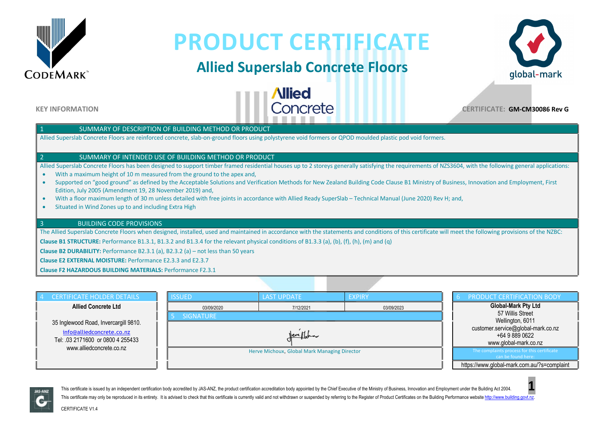

# **PRODUCT CERTIFICATE**

### **Allied Superslab Concrete Floors**

**Allied** 



**KEY INFORMATION** 

### SUMMARY OF DESCRIPTION OF BUILDING METHOD OR PRODUCT

Allied Superslab Concrete Floors are reinforced concrete, slab-on-ground floors using polystyrene void formers or QPOD moulded plastic pod void formers.

#### 2 SUMMARY OF INTENDED USE OF BUILDING METHOD OR PRODUCT

Allied Superslab Concrete Floors has been designed to support timber framed residential houses up to 2 storeys generally satisfying the requirements of NZS3604, with the following general applications:

- With a maximum height of 10 m measured from the ground to the apex and,
- Supported on "good ground" as defined by the Acceptable Solutions and Verification Methods for New Zealand Building Code Clause B1 Ministry of Business, Innovation and Employment, First Edition, July 2005 (Amendment 19, 28 November 2019) and,
- With a floor maximum length of 30 m unless detailed with free joints in accordance with Allied Ready SuperSlab Technical Manual (June 2020) Rev H; and,
- Situated in Wind Zones up to and including Extra High

#### 3 BUILDING CODE PROVISIONS

The Allied Superslab Concrete Floors when designed, installed, used and maintained in accordance with the statements and conditions of this certificate will meet the following provisions of the NZBC:

**Clause B1 STRUCTURE:** Performance B1.3.1, B1.3.2 and B1.3.4 for the relevant physical conditions of B1.3.3 (a), (b), (f), (h), (m) and (q)

**Clause B2 DURABILITY:** Performance B2.3.1 (a), B2.3.2 (a) – not less than 50 years

**Clause E2 EXTERNAL MOISTURE:** Performance E2.3.3 and E2.3.7

**Clause F2 HAZARDOUS BUILDING MATERIALS:** Performance F2.3.1

| <b>CERTIFICATE HOLDER DETAILS</b>                                                                       | <b>ISSUED</b>                                | <b>LAST UPDATE</b> | <b>EXPIRY</b> | PRODUCT CERTIFICATION BODY                                                    |
|---------------------------------------------------------------------------------------------------------|----------------------------------------------|--------------------|---------------|-------------------------------------------------------------------------------|
| <b>Allied Concrete Ltd</b>                                                                              | 03/09/2020                                   | 7/12/2021          | 03/09/2023    | <b>Global-Mark Pty Ltd</b>                                                    |
|                                                                                                         | <b>SIGNATURE</b>                             |                    |               | 57 Willis Street<br>Wellington, 6011                                          |
| 35 Inglewood Road, Invercargill 9810.<br>info@alliedconcrete.co.nz<br>Tel: .03 2171600 or 0800 4 255433 | <u>Verifficia</u>                            |                    |               | customer.service@global-mark.co.nz<br>+64 9 889 0622<br>www.global-mark.co.nz |
| www.alliedconcrete.co.nz                                                                                | Herve Michoux, Global Mark Managing Director |                    |               | The complaints process for this certificate<br>can be found here:             |
|                                                                                                         |                                              |                    |               | https://www.global-mark.com.au/?s=complaint                                   |



This certificate is issued by an independent certification body accredited by JAS-ANZ, the product certification accreditation body appointed by the Chief Executive of the Ministry of Business, Innovation and Employment un This certificate may only be reproduced in its entirety. It is advised to check that this certificate is currently valid and not withdrawn or suspended by referring to the Register of Product Certificates on the Building P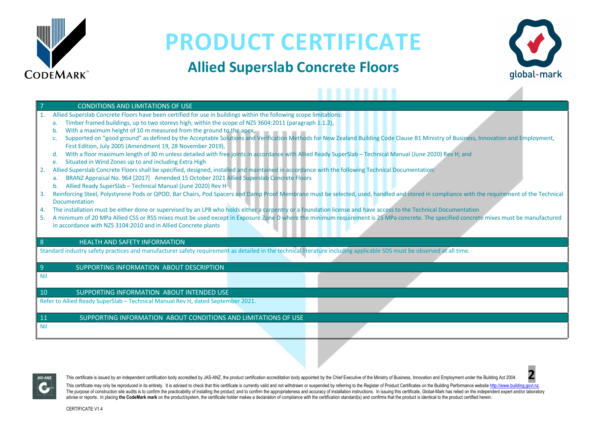

## **PRODUCT CERTIFICATE**

## **Allied Superslab Concrete Floors**



⊿

|                                                                                                                                                                       | <b>CONDITIONS AND LIMITATIONS OF USE</b>                                                                                                                                                    |  |  |  |  |  |
|-----------------------------------------------------------------------------------------------------------------------------------------------------------------------|---------------------------------------------------------------------------------------------------------------------------------------------------------------------------------------------|--|--|--|--|--|
|                                                                                                                                                                       | Allied Superslab Concrete Floors have been certified for use in buildings within the following scope limitations:                                                                           |  |  |  |  |  |
|                                                                                                                                                                       | Timber framed buildings, up to two storeys high, within the scope of NZS 3604:2011 (paragraph 1.1.2),<br>a.                                                                                 |  |  |  |  |  |
|                                                                                                                                                                       | With a maximum height of 10 m measured from the ground to the apex,                                                                                                                         |  |  |  |  |  |
|                                                                                                                                                                       | Supported on "good ground" as defined by the Acceptable Solutions and Verification Methods for New Zealand Building Code Clause B1 Ministry of Business, Innovation and Employment,         |  |  |  |  |  |
|                                                                                                                                                                       | First Edition, July 2005 (Amendment 19, 28 November 2019),                                                                                                                                  |  |  |  |  |  |
|                                                                                                                                                                       | With a floor maximum length of 30 m unless detailed with free joints in accordance with Allied Ready SuperSlab - Technical Manual (June 2020) Rev H; and<br>d.                              |  |  |  |  |  |
|                                                                                                                                                                       | Situated in Wind Zones up to and including Extra High<br>e.                                                                                                                                 |  |  |  |  |  |
| 2.                                                                                                                                                                    | Allied Superslab Concrete Floors shall be specified, designed, installed and maintained in accordance with the following Technical Documentation:                                           |  |  |  |  |  |
|                                                                                                                                                                       | BRANZ Appraisal No. 964 [2017] Amended 15 October 2021 Allied Superslab Concrete Floors<br>a.                                                                                               |  |  |  |  |  |
|                                                                                                                                                                       | Allied Ready SuperSlab - Technical Manual (June 2020) Rev H<br>b.                                                                                                                           |  |  |  |  |  |
| 3.                                                                                                                                                                    | Reinforcing Steel, Polystyrene Pods or QPOD, Bar Chairs, Pod Spacers and Damp Proof Membrane must be selected, used, handled and stored in compliance with the requirement of the Technical |  |  |  |  |  |
|                                                                                                                                                                       | Documentation                                                                                                                                                                               |  |  |  |  |  |
| 4.                                                                                                                                                                    | The installation must be either done or supervised by an LPB who holds either a carpentry or a foundation license and have access to the Technical Documentation                            |  |  |  |  |  |
| 5.                                                                                                                                                                    | A minimum of 20 MPa Allied CSS or RSS mixes must be used except in Exposure Zone D where the minimum requirement is 25 MPa concrete. The specified concrete mixes must be manufactured      |  |  |  |  |  |
|                                                                                                                                                                       | in accordance with NZS 3104:2010 and in Allied Concrete plants                                                                                                                              |  |  |  |  |  |
|                                                                                                                                                                       |                                                                                                                                                                                             |  |  |  |  |  |
| 8                                                                                                                                                                     | <b>HEALTH AND SAFETY INFORMATION</b>                                                                                                                                                        |  |  |  |  |  |
| Standard industry safety practices and manufacturer safety requirement as detailed in the technical literature including applicable SDS must be observed at all time. |                                                                                                                                                                                             |  |  |  |  |  |
|                                                                                                                                                                       |                                                                                                                                                                                             |  |  |  |  |  |
| $\overline{9}$                                                                                                                                                        | SUPPORTING INFORMATION ABOUT DESCRIPTION                                                                                                                                                    |  |  |  |  |  |
| <b>Nil</b>                                                                                                                                                            |                                                                                                                                                                                             |  |  |  |  |  |
|                                                                                                                                                                       |                                                                                                                                                                                             |  |  |  |  |  |
| 10                                                                                                                                                                    | SUPPORTING INFORMATION ABOUT INTENDED USE                                                                                                                                                   |  |  |  |  |  |
|                                                                                                                                                                       | Refer to Allied Ready SuperSlab - Technical Manual Rev H, dated September 2021.                                                                                                             |  |  |  |  |  |
|                                                                                                                                                                       |                                                                                                                                                                                             |  |  |  |  |  |
| 11                                                                                                                                                                    | SUPPORTING INFORMATION ABOUT CONDITIONS AND LIMITATIONS OF USE                                                                                                                              |  |  |  |  |  |
| <b>Nil</b>                                                                                                                                                            |                                                                                                                                                                                             |  |  |  |  |  |
|                                                                                                                                                                       |                                                                                                                                                                                             |  |  |  |  |  |
|                                                                                                                                                                       |                                                                                                                                                                                             |  |  |  |  |  |



This certificate is issued by an independent certification body accredited by JAS-ANZ, the product certification accreditation body appointed by the Chief Executive of the Ministry of Business, Innovation and Employment un

This certificate may only be reproduced in its entirety. It is advised to check that this certificate is currently valid and not withdrawn or suspended by referring to the Register of Product Certificates on the Building P The purpose of construction site audits is to confirm the practicability of installing the product: and to confirm the appropriateness and accuracy of installation instructions. In issuing this certificate. Global-Mark has advise or reports. In placing the CodeMark mark on the product/system, the certificate holder makes a declaration of compliance with the certification standard(s) and confirms that the product is identical to the product c